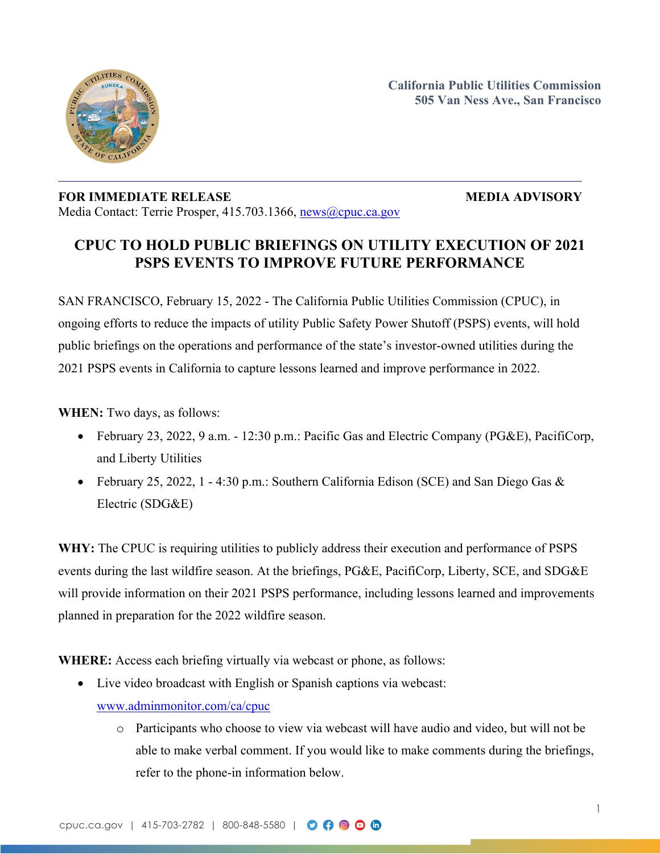

# **FOR IMMEDIATE RELEASE MEDIA ADVISORY** Media Contact: Terrie Prosper, 415.703.1366, [news@cpuc.ca.gov](mailto:news@cpuc.ca.gov)

# **CPUC TO HOLD PUBLIC BRIEFINGS ON UTILITY EXECUTION OF 2021 PSPS EVENTS TO IMPROVE FUTURE PERFORMANCE**

SAN FRANCISCO, February 15, 2022 - The California Public Utilities Commission (CPUC), in ongoing efforts to reduce the impacts of utility Public Safety Power Shutoff (PSPS) events, will hold public briefings on the operations and performance of the state's investor-owned utilities during the 2021 PSPS events in California to capture lessons learned and improve performance in 2022.

**WHEN:** Two days, as follows:

- February 23, 2022, 9 a.m. 12:30 p.m.: Pacific Gas and Electric Company (PG&E), PacifiCorp, and Liberty Utilities
- February 25, 2022, 1 4:30 p.m.: Southern California Edison (SCE) and San Diego Gas  $\&$ Electric (SDG&E)

**WHY:** The CPUC is requiring utilities to publicly address their execution and performance of PSPS events during the last wildfire season. At the briefings, PG&E, PacifiCorp, Liberty, SCE, and SDG&E will provide information on their 2021 PSPS performance, including lessons learned and improvements planned in preparation for the 2022 wildfire season.

**WHERE:** Access each briefing virtually via webcast or phone, as follows:

- Live video broadcast with English or Spanish captions via webcast: [www.adminmonitor.com/ca/cpuc](http://www.adminmonitor.com/ca/cpuc)
	- o Participants who choose to view via webcast will have audio and video, but will not be able to make verbal comment. If you would like to make comments during the briefings, refer to the phone-in information below.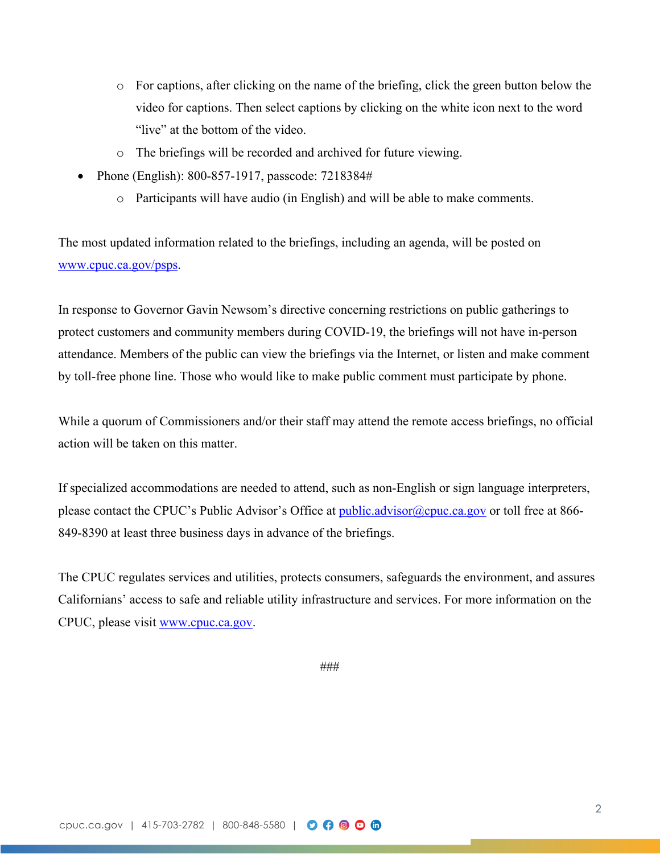- o For captions, after clicking on the name of the briefing, click the green button below the video for captions. Then select captions by clicking on the white icon next to the word "live" at the bottom of the video.
- o The briefings will be recorded and archived for future viewing.
- Phone (English): 800-857-1917, passcode: 7218384#
	- o Participants will have audio (in English) and will be able to make comments.

The most updated information related to the briefings, including an agenda, will be posted on [www.cpuc.ca.gov/psps.](http://www.cpuc.ca.gov/psps)

In response to Governor Gavin Newsom's directive concerning restrictions on public gatherings to protect customers and community members during COVID-19, the briefings will not have in-person attendance. Members of the public can view the briefings via the Internet, or listen and make comment by toll-free phone line. Those who would like to make public comment must participate by phone.

While a quorum of Commissioners and/or their staff may attend the remote access briefings, no official action will be taken on this matter.

If specialized accommodations are needed to attend, such as non-English or sign language interpreters, please contact the CPUC's Public Advisor's Office at [public.advisor@cpuc.ca.gov](mailto:public.advisor@cpuc.ca.gov) or toll free at 866-849-8390 at least three business days in advance of the briefings.

The CPUC regulates services and utilities, protects consumers, safeguards the environment, and assures Californians' access to safe and reliable utility infrastructure and services. For more information on the CPUC, please visit [www.cpuc.ca.gov](http://www.cpuc.ca.gov/).

###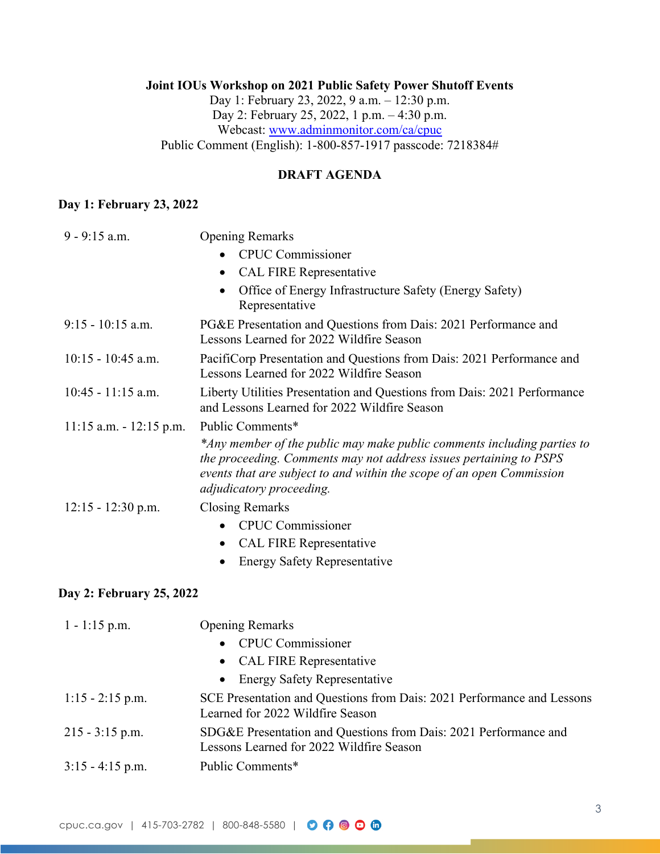## **Joint IOUs Workshop on 2021 Public Safety Power Shutoff Events** Day 1: February 23, 2022, 9 a.m. – 12:30 p.m. Day 2: February 25, 2022, 1 p.m. – 4:30 p.m. Webcast: [www.adminmonitor.com/ca/cpuc](http://www.adminmonitor.com/ca/cpuc) Public Comment (English): 1-800-857-1917 passcode: 7218384#

### **DRAFT AGENDA**

### **Day 1: February 23, 2022**

| $9 - 9:15$ a.m.            | <b>Opening Remarks</b>                                                                                                                                                                                                                             |
|----------------------------|----------------------------------------------------------------------------------------------------------------------------------------------------------------------------------------------------------------------------------------------------|
|                            | • CPUC Commissioner                                                                                                                                                                                                                                |
|                            | <b>CAL FIRE Representative</b>                                                                                                                                                                                                                     |
|                            | Office of Energy Infrastructure Safety (Energy Safety)<br>Representative                                                                                                                                                                           |
| $9:15 - 10:15$ a.m.        | PG&E Presentation and Questions from Dais: 2021 Performance and<br>Lessons Learned for 2022 Wildfire Season                                                                                                                                        |
| $10:15 - 10:45$ a.m.       | PacifiCorp Presentation and Questions from Dais: 2021 Performance and<br>Lessons Learned for 2022 Wildfire Season                                                                                                                                  |
| $10:45 - 11:15$ a.m.       | Liberty Utilities Presentation and Questions from Dais: 2021 Performance<br>and Lessons Learned for 2022 Wildfire Season                                                                                                                           |
| $11:15$ a.m. $-12:15$ p.m. | Public Comments*                                                                                                                                                                                                                                   |
|                            | *Any member of the public may make public comments including parties to<br>the proceeding. Comments may not address issues pertaining to PSPS<br>events that are subject to and within the scope of an open Commission<br>adjudicatory proceeding. |
| $12:15 - 12:30$ p.m.       | <b>Closing Remarks</b>                                                                                                                                                                                                                             |
|                            | <b>CPUC Commissioner</b>                                                                                                                                                                                                                           |
|                            | <b>CAL FIRE Representative</b>                                                                                                                                                                                                                     |
|                            | <b>Energy Safety Representative</b>                                                                                                                                                                                                                |
| Day 2: February 25, 2022   |                                                                                                                                                                                                                                                    |
| $1 - 1:15$ p.m.            | <b>Opening Remarks</b>                                                                                                                                                                                                                             |
|                            | <b>CPUC Commissioner</b>                                                                                                                                                                                                                           |
|                            | <b>CAL FIRE Representative</b>                                                                                                                                                                                                                     |
|                            | <b>Energy Safety Representative</b><br>$\bullet$                                                                                                                                                                                                   |
| $1:15 - 2:15$ p.m.         | SCE Presentation and Questions from Dais: 2021 Performance and Lessons<br>Learned for 2022 Wildfire Season                                                                                                                                         |
| $215 - 3:15$ p.m.          | SDG&E Presentation and Questions from Dais: 2021 Performance and<br>Lessons Learned for 2022 Wildfire Season                                                                                                                                       |
| $3:15 - 4:15$ p.m.         | Public Comments*                                                                                                                                                                                                                                   |
|                            |                                                                                                                                                                                                                                                    |